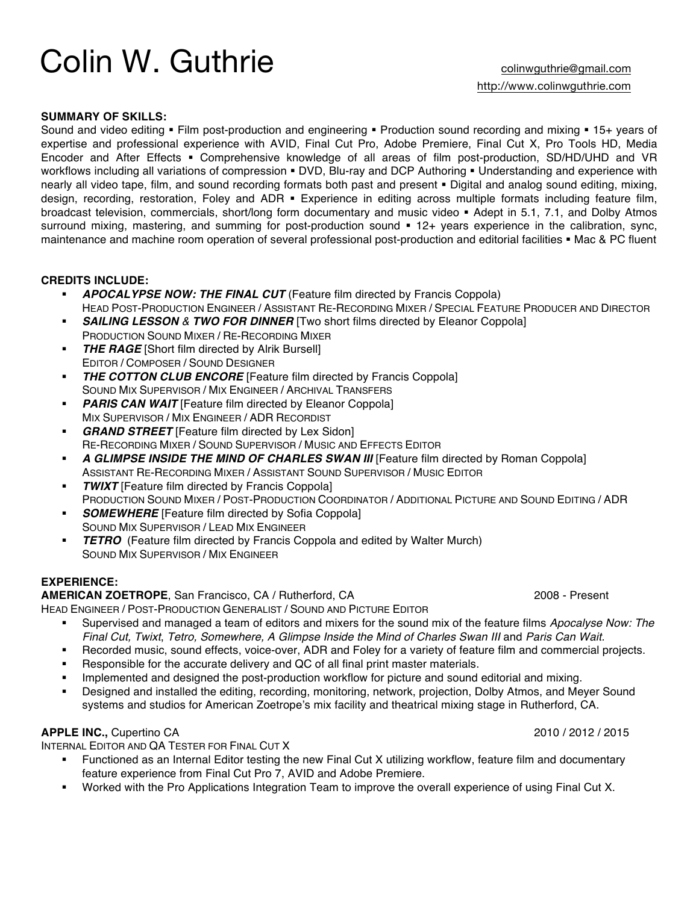# Colin W. Guthrie **Colinguthrie** and Colinwguthrie **Colinguthrie**

#### **SUMMARY OF SKILLS:**

Sound and video editing • Film post-production and engineering • Production sound recording and mixing • 15+ years of expertise and professional experience with AVID, Final Cut Pro, Adobe Premiere, Final Cut X, Pro Tools HD, Media Encoder and After Effects • Comprehensive knowledge of all areas of film post-production, SD/HD/UHD and VR workflows including all variations of compression • DVD, Blu-ray and DCP Authoring • Understanding and experience with nearly all video tape, film, and sound recording formats both past and present • Digital and analog sound editing, mixing, design, recording, restoration, Foley and ADR · Experience in editing across multiple formats including feature film, broadcast television, commercials, short/long form documentary and music video · Adept in 5.1, 7.1, and Dolby Atmos surround mixing, mastering, and summing for post-production sound • 12+ years experience in the calibration, sync, maintenance and machine room operation of several professional post-production and editorial facilities • Mac & PC fluent

#### **CREDITS INCLUDE:**

- § *APOCALYPSE NOW: THE FINAL CUT* (Feature film directed by Francis Coppola) HEAD POST-PRODUCTION ENGINEER / ASSISTANT RE-RECORDING MIXER / SPECIAL FEATURE PRODUCER AND DIRECTOR
- § *SAILING LESSON & TWO FOR DINNER* [Two short films directed by Eleanor Coppola]
- PRODUCTION SOUND MIXER / RE-RECORDING MIXER **THE RAGE** [Short film directed by Alrik Bursell]
- EDITOR / COMPOSER / SOUND DESIGNER
- **THE COTTON CLUB ENCORE** [Feature film directed by Francis Coppola] SOUND MIX SUPERVISOR / MIX ENGINEER / ARCHIVAL TRANSFERS
- **PARIS CAN WAIT [Feature film directed by Eleanor Coppola]** MIX SUPERVISOR / MIX ENGINEER / ADR RECORDIST
- **GRAND STREET** [Feature film directed by Lex Sidon] RE-RECORDING MIXER / SOUND SUPERVISOR / MUSIC AND EFFECTS EDITOR
- **A GLIMPSE INSIDE THE MIND OF CHARLES SWAN III** [Feature film directed by Roman Coppola] ASSISTANT RE-RECORDING MIXER / ASSISTANT SOUND SUPERVISOR / MUSIC EDITOR
- **TWIXT** [Feature film directed by Francis Coppola] PRODUCTION SOUND MIXER / POST-PRODUCTION COORDINATOR / ADDITIONAL PICTURE AND SOUND EDITING / ADR
- **SOMEWHERE** [Feature film directed by Sofia Coppola] SOUND MIX SUPERVISOR / LEAD MIX ENGINEER
- **TETRO** (Feature film directed by Francis Coppola and edited by Walter Murch) SOUND MIX SUPERVISOR / MIX ENGINEER

#### **EXPERIENCE:**

**AMERICAN ZOETROPE, San Francisco, CA / Rutherford, CA** 2008 - 2008 - Present

HEAD ENGINEER / POST-PRODUCTION GENERALIST / SOUND AND PICTURE EDITOR

- § Supervised and managed a team of editors and mixers for the sound mix of the feature films *Apocalyse Now: The Final Cut, Twixt*, *Tetro, Somewhere, A Glimpse Inside the Mind of Charles Swan III* and *Paris Can Wait.*
- Recorded music, sound effects, voice-over, ADR and Foley for a variety of feature film and commercial projects.
- Responsible for the accurate delivery and QC of all final print master materials.
- Implemented and designed the post-production workflow for picture and sound editorial and mixing.
- Designed and installed the editing, recording, monitoring, network, projection, Dolby Atmos, and Meyer Sound systems and studios for American Zoetrope's mix facility and theatrical mixing stage in Rutherford, CA.

#### **APPLE INC.,** Cupertino CA 2010 / 2012 / 2015

INTERNAL EDITOR AND QA TESTER FOR FINAL CUT X

- Functioned as an Internal Editor testing the new Final Cut X utilizing workflow, feature film and documentary feature experience from Final Cut Pro 7, AVID and Adobe Premiere.
- Worked with the Pro Applications Integration Team to improve the overall experience of using Final Cut X.